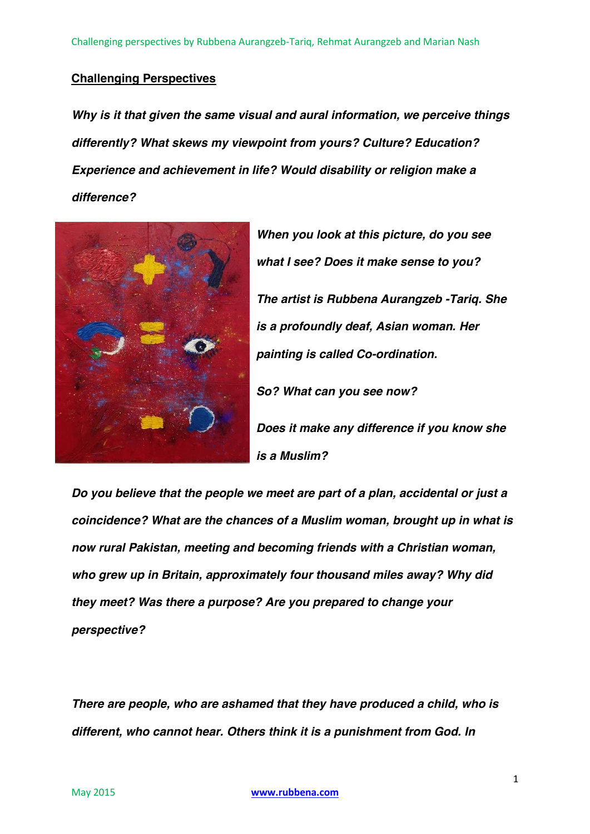# **Challenging Perspectives**

*Why is it that given the same visual and aural information, we perceive things differently? What skews my viewpoint from yours? Culture? Education? Experience and achievement in life? Would disability or religion make a difference?*



*When you look at this picture, do you see what I see? Does it make sense to you? The artist is Rubbena Aurangzeb -Tariq. She is a profoundly deaf, Asian woman. Her painting is called Co-ordination. So? What can you see now? Does it make any difference if you know she is a Muslim?*

*Do you believe that the people we meet are part of a plan, accidental or just a coincidence? What are the chances of a Muslim woman, brought up in what is now rural Pakistan, meeting and becoming friends with a Christian woman, who grew up in Britain, approximately four thousand miles away? Why did they meet? Was there a purpose? Are you prepared to change your perspective?*

*There are people, who are ashamed that they have produced a child, who is different, who cannot hear. Others think it is a punishment from God. In*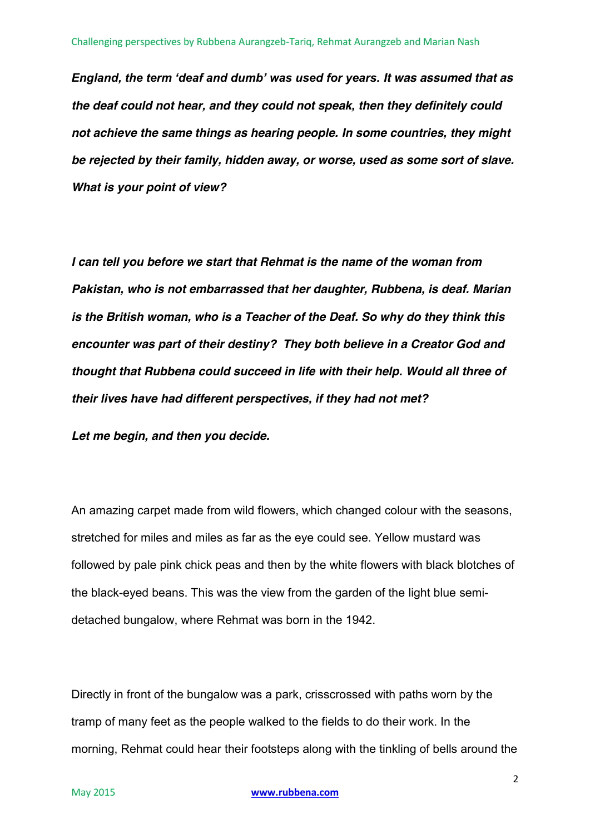*England, the term 'deaf and dumb' was used for years. It was assumed that as the deaf could not hear, and they could not speak, then they definitely could not achieve the same things as hearing people. In some countries, they might be rejected by their family, hidden away, or worse, used as some sort of slave. What is your point of view?*

*I can tell you before we start that Rehmat is the name of the woman from Pakistan, who is not embarrassed that her daughter, Rubbena, is deaf. Marian is the British woman, who is a Teacher of the Deaf. So why do they think this encounter was part of their destiny? They both believe in a Creator God and thought that Rubbena could succeed in life with their help. Would all three of their lives have had different perspectives, if they had not met?* 

*Let me begin, and then you decide.*

An amazing carpet made from wild flowers, which changed colour with the seasons, stretched for miles and miles as far as the eye could see. Yellow mustard was followed by pale pink chick peas and then by the white flowers with black blotches of the black-eyed beans. This was the view from the garden of the light blue semidetached bungalow, where Rehmat was born in the 1942.

Directly in front of the bungalow was a park, crisscrossed with paths worn by the tramp of many feet as the people walked to the fields to do their work. In the morning, Rehmat could hear their footsteps along with the tinkling of bells around the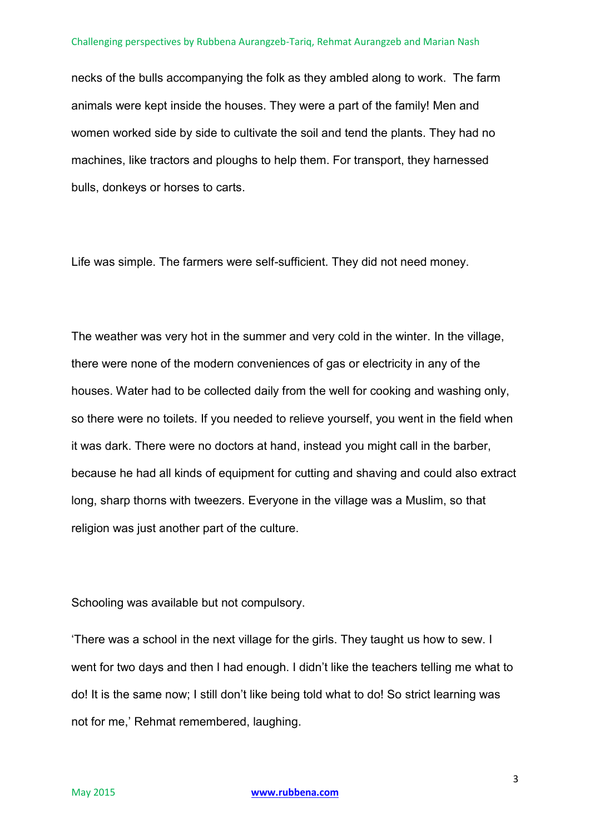necks of the bulls accompanying the folk as they ambled along to work. The farm animals were kept inside the houses. They were a part of the family! Men and women worked side by side to cultivate the soil and tend the plants. They had no machines, like tractors and ploughs to help them. For transport, they harnessed bulls, donkeys or horses to carts.

Life was simple. The farmers were self-sufficient. They did not need money.

The weather was very hot in the summer and very cold in the winter. In the village, there were none of the modern conveniences of gas or electricity in any of the houses. Water had to be collected daily from the well for cooking and washing only, so there were no toilets. If you needed to relieve yourself, you went in the field when it was dark. There were no doctors at hand, instead you might call in the barber, because he had all kinds of equipment for cutting and shaving and could also extract long, sharp thorns with tweezers. Everyone in the village was a Muslim, so that religion was just another part of the culture.

Schooling was available but not compulsory.

'There was a school in the next village for the girls. They taught us how to sew. I went for two days and then I had enough. I didn't like the teachers telling me what to do! It is the same now; I still don't like being told what to do! So strict learning was not for me,' Rehmat remembered, laughing.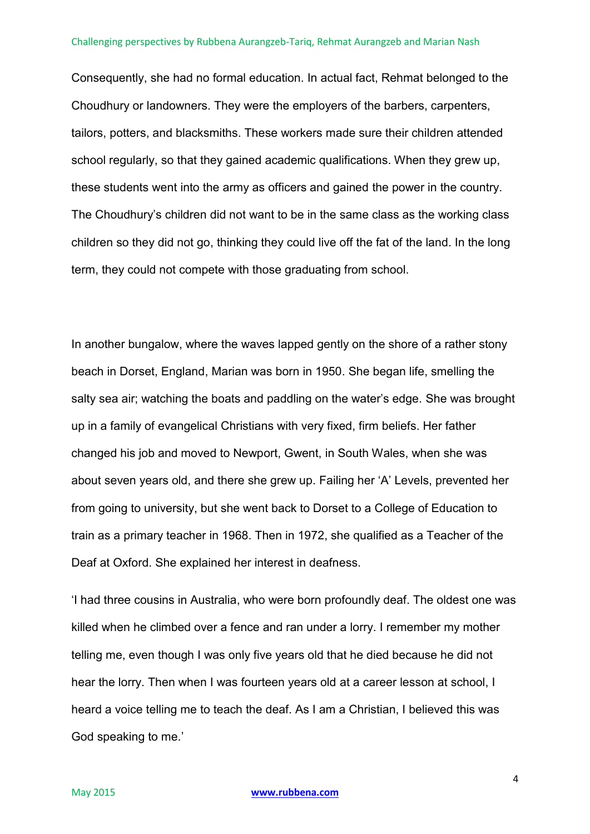Consequently, she had no formal education. In actual fact, Rehmat belonged to the Choudhury or landowners. They were the employers of the barbers, carpenters, tailors, potters, and blacksmiths. These workers made sure their children attended school regularly, so that they gained academic qualifications. When they grew up, these students went into the army as officers and gained the power in the country. The Choudhury's children did not want to be in the same class as the working class children so they did not go, thinking they could live off the fat of the land. In the long term, they could not compete with those graduating from school.

In another bungalow, where the waves lapped gently on the shore of a rather stony beach in Dorset, England, Marian was born in 1950. She began life, smelling the salty sea air; watching the boats and paddling on the water's edge. She was brought up in a family of evangelical Christians with very fixed, firm beliefs. Her father changed his job and moved to Newport, Gwent, in South Wales, when she was about seven years old, and there she grew up. Failing her 'A' Levels, prevented her from going to university, but she went back to Dorset to a College of Education to train as a primary teacher in 1968. Then in 1972, she qualified as a Teacher of the Deaf at Oxford. She explained her interest in deafness.

'I had three cousins in Australia, who were born profoundly deaf. The oldest one was killed when he climbed over a fence and ran under a lorry. I remember my mother telling me, even though I was only five years old that he died because he did not hear the lorry. Then when I was fourteen years old at a career lesson at school, I heard a voice telling me to teach the deaf. As I am a Christian, I believed this was God speaking to me.'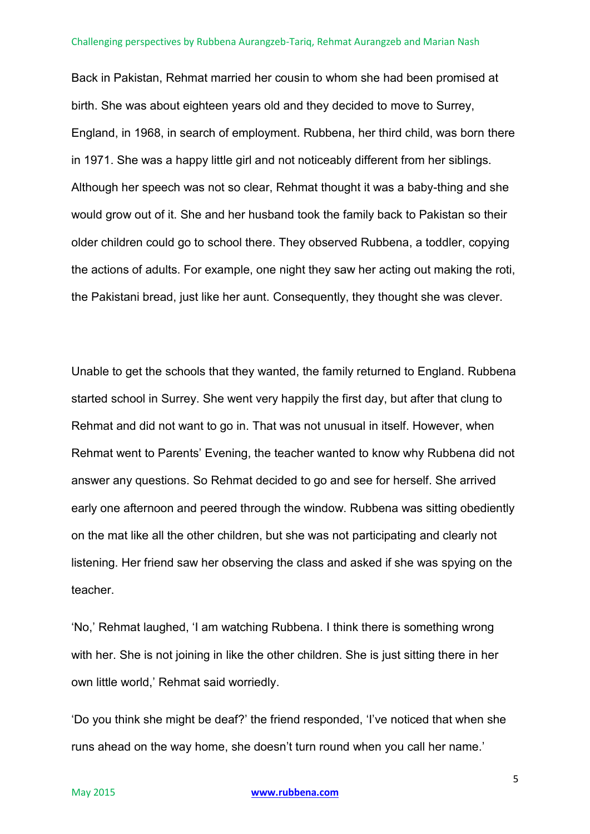Back in Pakistan, Rehmat married her cousin to whom she had been promised at birth. She was about eighteen years old and they decided to move to Surrey, England, in 1968, in search of employment. Rubbena, her third child, was born there in 1971. She was a happy little girl and not noticeably different from her siblings. Although her speech was not so clear, Rehmat thought it was a baby-thing and she would grow out of it. She and her husband took the family back to Pakistan so their older children could go to school there. They observed Rubbena, a toddler, copying the actions of adults. For example, one night they saw her acting out making the roti, the Pakistani bread, just like her aunt. Consequently, they thought she was clever.

Unable to get the schools that they wanted, the family returned to England. Rubbena started school in Surrey. She went very happily the first day, but after that clung to Rehmat and did not want to go in. That was not unusual in itself. However, when Rehmat went to Parents' Evening, the teacher wanted to know why Rubbena did not answer any questions. So Rehmat decided to go and see for herself. She arrived early one afternoon and peered through the window. Rubbena was sitting obediently on the mat like all the other children, but she was not participating and clearly not listening. Her friend saw her observing the class and asked if she was spying on the teacher.

'No,' Rehmat laughed, 'I am watching Rubbena. I think there is something wrong with her. She is not joining in like the other children. She is just sitting there in her own little world,' Rehmat said worriedly.

'Do you think she might be deaf?' the friend responded, 'I've noticed that when she runs ahead on the way home, she doesn't turn round when you call her name.'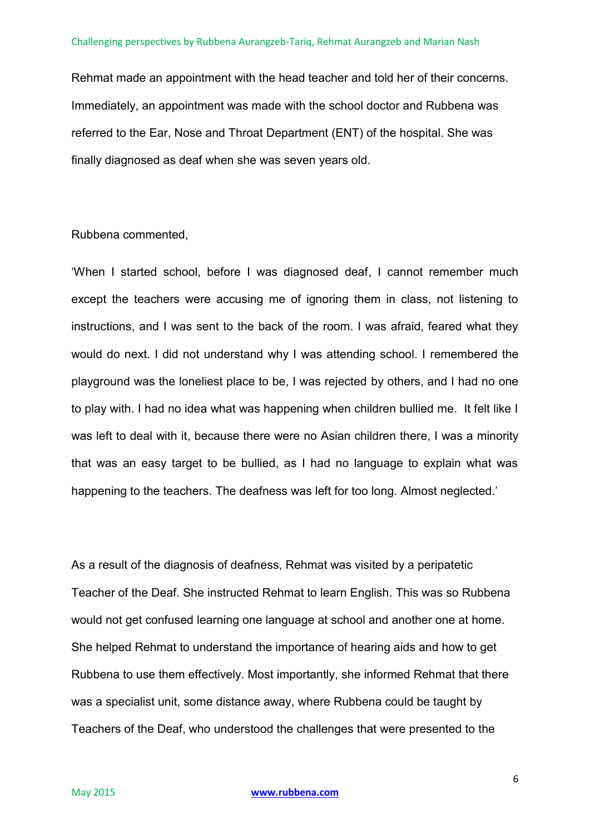Rehmat made an appointment with the head teacher and told her of their concerns. Immediately, an appointment was made with the school doctor and Rubbena was referred to the Ear, Nose and Throat Department (ENT) of the hospital. She was finally diagnosed as deaf when she was seven years old.

## Rubbena commented,

'When I started school, before I was diagnosed deaf, I cannot remember much except the teachers were accusing me of ignoring them in class, not listening to instructions, and I was sent to the back of the room. I was afraid, feared what they would do next. I did not understand why I was attending school. I remembered the playground was the loneliest place to be, I was rejected by others, and I had no one to play with. I had no idea what was happening when children bullied me. It felt like I was left to deal with it, because there were no Asian children there, I was a minority that was an easy target to be bullied, as I had no language to explain what was happening to the teachers. The deafness was left for too long. Almost neglected.'

As a result of the diagnosis of deafness, Rehmat was visited by a peripatetic Teacher of the Deaf. She instructed Rehmat to learn English. This was so Rubbena would not get confused learning one language at school and another one at home. She helped Rehmat to understand the importance of hearing aids and how to get Rubbena to use them effectively. Most importantly, she informed Rehmat that there was a specialist unit, some distance away, where Rubbena could be taught by Teachers of the Deaf, who understood the challenges that were presented to the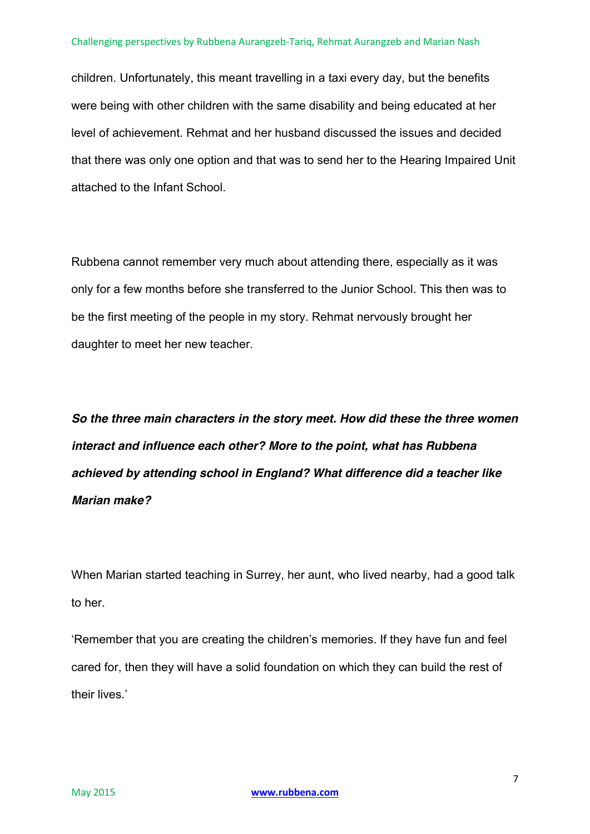children. Unfortunately, this meant travelling in a taxi every day, but the benefits were being with other children with the same disability and being educated at her level of achievement. Rehmat and her husband discussed the issues and decided that there was only one option and that was to send her to the Hearing Impaired Unit attached to the Infant School.

Rubbena cannot remember very much about attending there, especially as it was only for a few months before she transferred to the Junior School. This then was to be the first meeting of the people in my story. Rehmat nervously brought her daughter to meet her new teacher.

*So the three main characters in the story meet. How did these the three women interact and influence each other? More to the point, what has Rubbena achieved by attending school in England? What difference did a teacher like Marian make?*

When Marian started teaching in Surrey, her aunt, who lived nearby, had a good talk to her.

'Remember that you are creating the children's memories. If they have fun and feel cared for, then they will have a solid foundation on which they can build the rest of their lives.'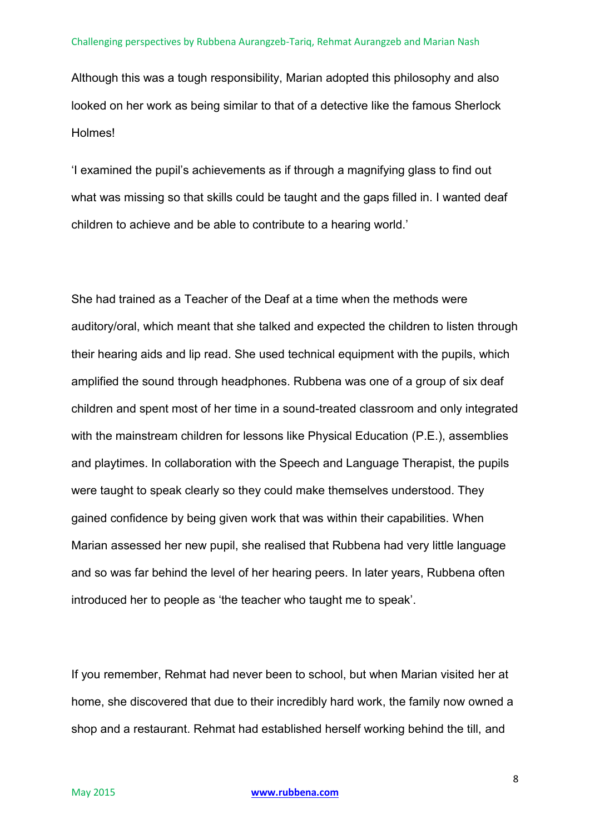Although this was a tough responsibility, Marian adopted this philosophy and also looked on her work as being similar to that of a detective like the famous Sherlock Holmes!

'I examined the pupil's achievements as if through a magnifying glass to find out what was missing so that skills could be taught and the gaps filled in. I wanted deaf children to achieve and be able to contribute to a hearing world.'

She had trained as a Teacher of the Deaf at a time when the methods were auditory/oral, which meant that she talked and expected the children to listen through their hearing aids and lip read. She used technical equipment with the pupils, which amplified the sound through headphones. Rubbena was one of a group of six deaf children and spent most of her time in a sound-treated classroom and only integrated with the mainstream children for lessons like Physical Education (P.E.), assemblies and playtimes. In collaboration with the Speech and Language Therapist, the pupils were taught to speak clearly so they could make themselves understood. They gained confidence by being given work that was within their capabilities. When Marian assessed her new pupil, she realised that Rubbena had very little language and so was far behind the level of her hearing peers. In later years, Rubbena often introduced her to people as 'the teacher who taught me to speak'.

If you remember, Rehmat had never been to school, but when Marian visited her at home, she discovered that due to their incredibly hard work, the family now owned a shop and a restaurant. Rehmat had established herself working behind the till, and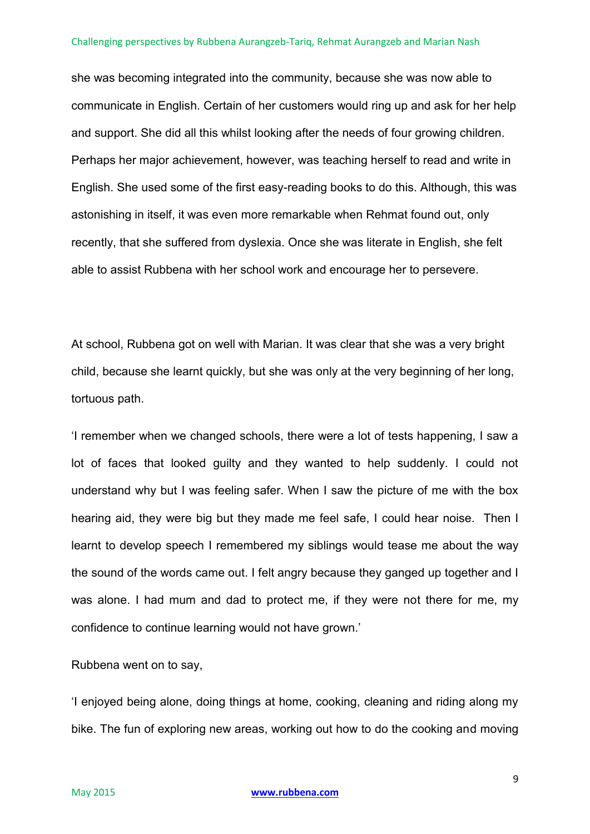she was becoming integrated into the community, because she was now able to communicate in English. Certain of her customers would ring up and ask for her help and support. She did all this whilst looking after the needs of four growing children. Perhaps her major achievement, however, was teaching herself to read and write in English. She used some of the first easy-reading books to do this. Although, this was astonishing in itself, it was even more remarkable when Rehmat found out, only recently, that she suffered from dyslexia. Once she was literate in English, she felt able to assist Rubbena with her school work and encourage her to persevere.

At school, Rubbena got on well with Marian. It was clear that she was a very bright child, because she learnt quickly, but she was only at the very beginning of her long, tortuous path.

'I remember when we changed schools, there were a lot of tests happening, I saw a lot of faces that looked guilty and they wanted to help suddenly. I could not understand why but I was feeling safer. When I saw the picture of me with the box hearing aid, they were big but they made me feel safe, I could hear noise. Then I learnt to develop speech I remembered my siblings would tease me about the way the sound of the words came out. I felt angry because they ganged up together and I was alone. I had mum and dad to protect me, if they were not there for me, my confidence to continue learning would not have grown.'

Rubbena went on to say,

'I enjoyed being alone, doing things at home, cooking, cleaning and riding along my bike. The fun of exploring new areas, working out how to do the cooking and moving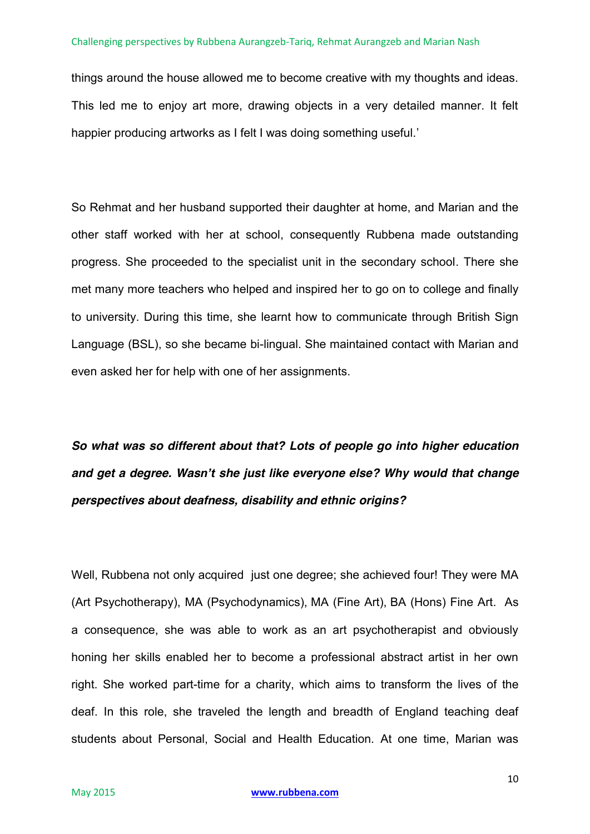things around the house allowed me to become creative with my thoughts and ideas. This led me to enjoy art more, drawing objects in a very detailed manner. It felt happier producing artworks as I felt I was doing something useful.'

So Rehmat and her husband supported their daughter at home, and Marian and the other staff worked with her at school, consequently Rubbena made outstanding progress. She proceeded to the specialist unit in the secondary school. There she met many more teachers who helped and inspired her to go on to college and finally to university. During this time, she learnt how to communicate through British Sign Language (BSL), so she became bi-lingual. She maintained contact with Marian and even asked her for help with one of her assignments.

*So what was so different about that? Lots of people go into higher education and get a degree. Wasn't she just like everyone else? Why would that change perspectives about deafness, disability and ethnic origins?*

Well, Rubbena not only acquired just one degree; she achieved four! They were MA (Art Psychotherapy), MA (Psychodynamics), MA (Fine Art), BA (Hons) Fine Art. As a consequence, she was able to work as an art psychotherapist and obviously honing her skills enabled her to become a professional abstract artist in her own right. She worked part-time for a charity, which aims to transform the lives of the deaf. In this role, she traveled the length and breadth of England teaching deaf students about Personal, Social and Health Education. At one time, Marian was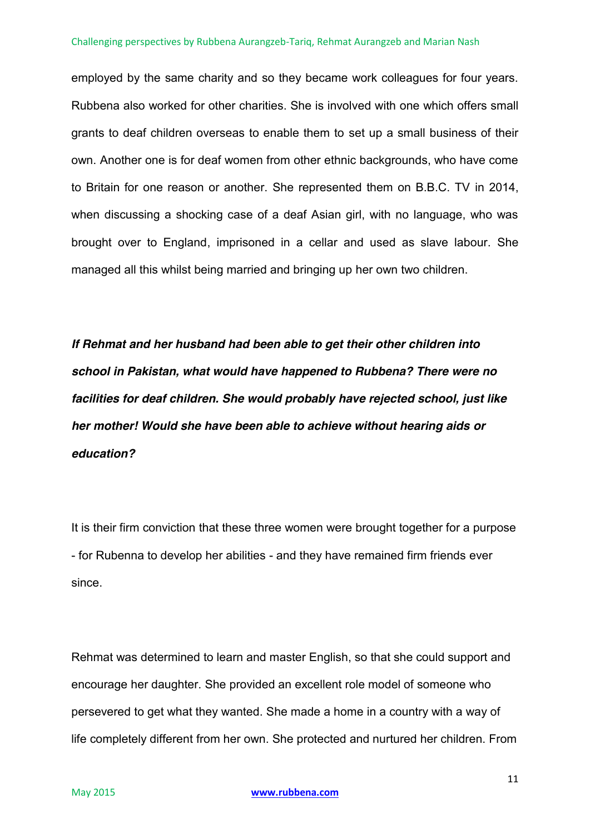employed by the same charity and so they became work colleagues for four years. Rubbena also worked for other charities. She is involved with one which offers small grants to deaf children overseas to enable them to set up a small business of their own. Another one is for deaf women from other ethnic backgrounds, who have come to Britain for one reason or another. She represented them on B.B.C. TV in 2014, when discussing a shocking case of a deaf Asian girl, with no language, who was brought over to England, imprisoned in a cellar and used as slave labour. She managed all this whilst being married and bringing up her own two children.

*If Rehmat and her husband had been able to get their other children into school in Pakistan, what would have happened to Rubbena? There were no facilities for deaf children. She would probably have rejected school, just like her mother! Would she have been able to achieve without hearing aids or education?* 

It is their firm conviction that these three women were brought together for a purpose - for Rubenna to develop her abilities - and they have remained firm friends ever since.

Rehmat was determined to learn and master English, so that she could support and encourage her daughter. She provided an excellent role model of someone who persevered to get what they wanted. She made a home in a country with a way of life completely different from her own. She protected and nurtured her children. From